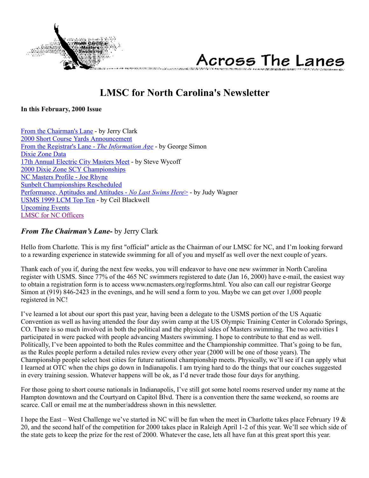<span id="page-0-1"></span>



# **LMSC for North Carolina's Newsletter**

**In this February, 2000 Issue**

[From the Chairman's Lane](#page-0-0) - by Jerry Clark [2000 Short Course Yards Announcement](#page-1-0) [From the Registrar's Lane -](#page-1-1) *The Information Age* - by George Simon [Dixie Zone Data](#page-2-0) [17th Annual Electric City Masters Meet](#page-2-1) - by Steve Wycoff [2000 Dixie Zone SCY Championships](#page-2-2) [NC Masters Profile - Joe Rhyne](#page-3-0) [Sunbelt Championships Rescheduled](#page-3-1) [Performance, Aptitudes and Attitudes -](#page-4-0) *No Last Swims Here*> - by Judy Wagner [USMS 1999 LCM Top Ten](#page-5-0) - by Ceil Blackwell [Upcoming Events](#page-7-0) [LMSC for NC Officers](#page-8-0)

# <span id="page-0-0"></span>*From The Chairman's Lane-* by Jerry Clark

Hello from Charlotte. This is my first "official" article as the Chairman of our LMSC for NC, and I'm looking forward to a rewarding experience in statewide swimming for all of you and myself as well over the next couple of years.

Thank each of you if, during the next few weeks, you will endeavor to have one new swimmer in North Carolina register with USMS. Since 77% of the 465 NC swimmers registered to date (Jan 16, 2000) have e-mail, the easiest way to obtain a registration form is to access www.ncmasters.org/regforms.html. You also can call our registrar George Simon at (919) 846-2423 in the evenings, and he will send a form to you. Maybe we can get over 1,000 people registered in NC!

I've learned a lot about our sport this past year, having been a delegate to the USMS portion of the US Aquatic Convention as well as having attended the four day swim camp at the US Olympic Training Center in Colorado Springs, CO. There is so much involved in both the political and the physical sides of Masters swimming. The two activities I participated in were packed with people advancing Masters swimming. I hope to contribute to that end as well. Politically, I've been appointed to both the Rules committee and the Championship committee. That's going to be fun, as the Rules people perform a detailed rules review every other year (2000 will be one of those years). The Championship people select host cities for future national championship meets. Physically, we'll see if I can apply what I learned at OTC when the chips go down in Indianapolis. I am trying hard to do the things that our coaches suggested in every training session. Whatever happens will be ok, as I'd never trade those four days for anything.

For those going to short course nationals in Indianapolis, I've still got some hotel rooms reserved under my name at the Hampton downtown and the Courtyard on Capitol Blvd. There is a convention there the same weekend, so rooms are scarce. Call or email me at the number/address shown in this newsletter.

I hope the East – West Challenge we've started in NC will be fun when the meet in Charlotte takes place February 19  $\&$ 20, and the second half of the competition for 2000 takes place in Raleigh April 1-2 of this year. We'll see which side of the state gets to keep the prize for the rest of 2000. Whatever the case, lets all have fun at this great sport this year.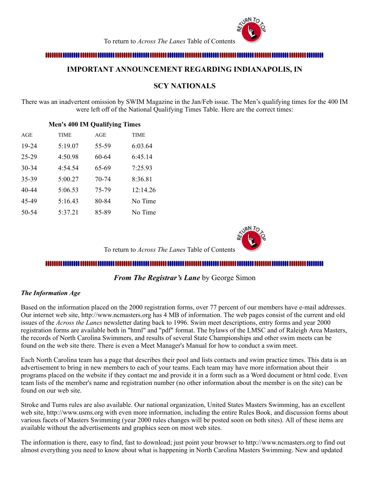

To return to *Across The Lanes* Table of Contents

## <span id="page-1-0"></span>

## **IMPORTANT ANNOUNCEMENT REGARDING INDIANAPOLIS, IN**

# **SCY NATIONALS**

There was an inadvertent omission by SWIM Magazine in the Jan/Feb issue. The Men's qualifying times for the 400 IM were left off of the National Qualifying Times Table. Here are the correct times:

## **Men's 400 IM Qualifying Times**

| AGE       | <b>TIME</b> | AGE   | <b>TIME</b> |
|-----------|-------------|-------|-------------|
| 19-24     | 5:19.07     | 55-59 | 6:03.64     |
| $25 - 29$ | 4:50.98     | 60-64 | 6:45.14     |
| 30-34     | 4:54.54     | 65-69 | 7:25.93     |
| 35-39     | 5:00.27     | 70-74 | 8:36.81     |
| 40-44     | 5:06.53     | 75-79 | 12:14.26    |
| 45-49     | 5:16.43     | 80-84 | No Time     |
| 50-54     | 5:37.21     | 85-89 | No Time     |

To return to *Across The Lanes* Table of Contents

#### ,,,,,,,,,,,,,,,,,,,,,,,,,,,,,,,

## *From The Registrar's Lane* by George Simon

### <span id="page-1-1"></span>*The Information Age*

Based on the information placed on the 2000 registration forms, over 77 percent of our members have e-mail addresses. Our internet web site, http://www.ncmasters.org has 4 MB of information. The web pages consist of the current and old issues of the *Across the Lanes* newsletter dating back to 1996. Swim meet descriptions, entry forms and year 2000 registration forms are available both in "html" and "pdf" format. The bylaws of the LMSC and of Raleigh Area Masters, the records of North Carolina Swimmers, and results of several State Championships and other swim meets can be found on the web site there. There is even a Meet Manager's Manual for how to conduct a swim meet.

Each North Carolina team has a page that describes their pool and lists contacts and swim practice times. This data is an advertisement to bring in new members to each of your teams. Each team may have more information about their programs placed on the website if they contact me and provide it in a form such as a Word document or html code. Even team lists of the member's name and registration number (no other information about the member is on the site) can be found on our web site.

Stroke and Turns rules are also available. Our national organization, United States Masters Swimming, has an excellent web site, http://www.usms.org with even more information, including the entire Rules Book, and discussion forms about various facets of Masters Swimming (year 2000 rules changes will be posted soon on both sites). All of these items are available without the advertisements and graphics seen on most web sites.

The information is there, easy to find, fast to download; just point your browser to http://www.ncmasters.org to find out almost everything you need to know about what is happening in North Carolina Masters Swimming. New and updated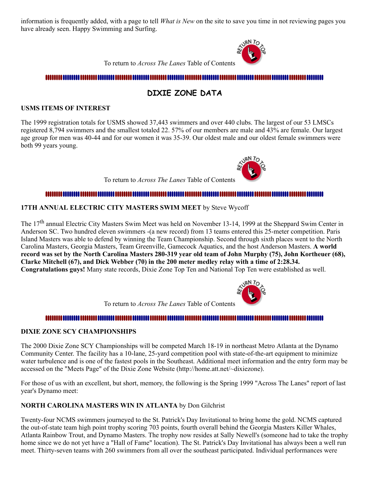information is frequently added, with a page to tell *What is New* on the site to save you time in not reviewing pages you have already seen. Happy Swimming and Surfing.



To return to *Across The Lanes* Table of Contents

# 

# **DIXIE ZONE DATA**

## <span id="page-2-0"></span>**USMS ITEMS OF INTEREST**

The 1999 registration totals for USMS showed 37,443 swimmers and over 440 clubs. The largest of our 53 LMSCs registered 8,794 swimmers and the smallest totaled 22. 57% of our members are male and 43% are female. Our largest age group for men was 40-44 and for our women it was 35-39. Our oldest male and our oldest female swimmers were both 99 years young.

To return to *Across The Lanes* Table of Contents

## <u>n maanaa maanaa maanaa maanaa maana</u>

## <span id="page-2-1"></span>**17TH ANNUAL ELECTRIC CITY MASTERS SWIM MEET** by Steve Wycoff

The 17<sup>th</sup> annual Electric City Masters Swim Meet was held on November 13-14, 1999 at the Sheppard Swim Center in Anderson SC. Two hundred eleven swimmers -(a new record) from 13 teams entered this 25-meter competition. Paris Island Masters was able to defend by winning the Team Championship. Second through sixth places went to the North Carolina Masters, Georgia Masters, Team Greenville, Gamecock Aquatics, and the host Anderson Masters. **A world record was set by the North Carolina Masters 280-319 year old team of John Murphy (75), John Kortheuer (68), Clarke Mitchell (67), and Dick Webber (70) in the 200 meter medley relay with a time of 2:28.34. Congratulations guys!** Many state records, Dixie Zone Top Ten and National Top Ten were established as well.



To return to *Across The Lanes* Table of Contents

### 

### <span id="page-2-2"></span>**DIXIE ZONE SCY CHAMPIONSHIPS**

The 2000 Dixie Zone SCY Championships will be competed March 18-19 in northeast Metro Atlanta at the Dynamo Community Center. The facility has a 10-lane, 25-yard competition pool with state-of-the-art equipment to minimize water turbulence and is one of the fastest pools in the Southeast. Additional meet information and the entry form may be accessed on the "Meets Page" of the Dixie Zone Website (http://home.att.net/~dixiezone).

For those of us with an excellent, but short, memory, the following is the Spring 1999 "Across The Lanes" report of last year's Dynamo meet:

## **NORTH CAROLINA MASTERS WIN IN ATLANTA** by Don Gilchrist

Twenty-four NCMS swimmers journeyed to the St. Patrick's Day Invitational to bring home the gold. NCMS captured the out-of-state team high point trophy scoring 703 points, fourth overall behind the Georgia Masters Killer Whales, Atlanta Rainbow Trout, and Dynamo Masters. The trophy now resides at Sally Newell's (someone had to take the trophy home since we do not yet have a "Hall of Fame" location). The St. Patrick's Day Invitational has always been a well run meet. Thirty-seven teams with 260 swimmers from all over the southeast participated. Individual performances were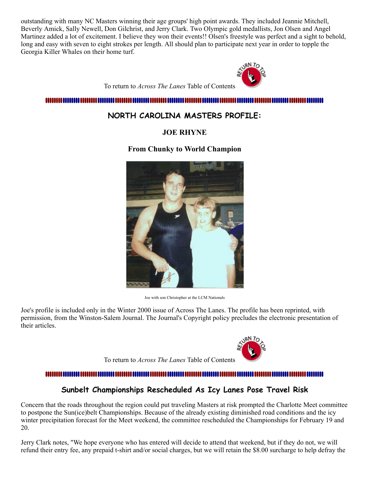outstanding with many NC Masters winning their age groups' high point awards. They included Jeannie Mitchell, Beverly Amick, Sally Newell, Don Gilchrist, and Jerry Clark. Two Olympic gold medallists, Jon Olsen and Angel Martinez added a lot of excitement. I believe they won their events!! Olsen's freestyle was perfect and a sight to behold, long and easy with seven to eight strokes per length. All should plan to participate next year in order to topple the Georgia Killer Whales on their home turf.



To return to *Across The Lanes* Table of Contents

### <span id="page-3-0"></span>,,,,,,,,,,,,,,,,,,,,,,,,,,,,,

# **NORTH CAROLINA MASTERS PROFILE:**

# **JOE RHYNE**

# **From Chunky to World Champion**



Joe with son Christopher at the LCM Nationals

Joe's profile is included only in the Winter 2000 issue of Across The Lanes. The profile has been reprinted, with permission, from the Winston-Salem Journal. The Journal's Copyright policy precludes the electronic presentation of their articles.



To return to *Across The Lanes* Table of Contents

# mmm

# **Sunbelt Championships Rescheduled As Icy Lanes Pose Travel Risk**

<span id="page-3-1"></span>Concern that the roads throughout the region could put traveling Masters at risk prompted the Charlotte Meet committee to postpone the Sun(ice)belt Championships. Because of the already existing diminished road conditions and the icy winter precipitation forecast for the Meet weekend, the committee rescheduled the Championships for February 19 and 20.

Jerry Clark notes, "We hope everyone who has entered will decide to attend that weekend, but if they do not, we will refund their entry fee, any prepaid t-shirt and/or social charges, but we will retain the \$8.00 surcharge to help defray the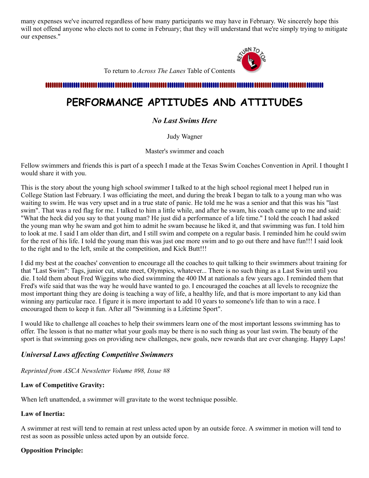many expenses we've incurred regardless of how many participants we may have in February. We sincerely hope this will not offend anyone who elects not to come in February; that they will understand that we're simply trying to mitigate our expenses."



To return to *Across The Lanes* Table of Contents

<span id="page-4-0"></span>

# **PERFORMANCE APTITUDES AND ATTITUDES**

# *No Last Swims Here*

Judy Wagner

Master's swimmer and coach

Fellow swimmers and friends this is part of a speech I made at the Texas Swim Coaches Convention in April. I thought I would share it with you.

This is the story about the young high school swimmer I talked to at the high school regional meet I helped run in College Station last February. I was officiating the meet, and during the break I began to talk to a young man who was waiting to swim. He was very upset and in a true state of panic. He told me he was a senior and that this was his "last swim". That was a red flag for me. I talked to him a little while, and after he swam, his coach came up to me and said: "What the heck did you say to that young man? He just did a performance of a life time." I told the coach I had asked the young man why he swam and got him to admit he swam because he liked it, and that swimming was fun. I told him to look at me. I said I am older than dirt, and I still swim and compete on a regular basis. I reminded him he could swim for the rest of his life. I told the young man this was just one more swim and to go out there and have fun!!! I said look to the right and to the left, smile at the competition, and Kick Butt!!!

I did my best at the coaches' convention to encourage all the coaches to quit talking to their swimmers about training for that "Last Swim": Tags, junior cut, state meet, Olympics, whatever... There is no such thing as a Last Swim until you die. I told them about Fred Wiggins who died swimming the 400 IM at nationals a few years ago. I reminded them that Fred's wife said that was the way he would have wanted to go. I encouraged the coaches at all levels to recognize the most important thing they are doing is teaching a way of life, a healthy life, and that is more important to any kid than winning any particular race. I figure it is more important to add 10 years to someone's life than to win a race. I encouraged them to keep it fun. After all "Swimming is a Lifetime Sport".

I would like to challenge all coaches to help their swimmers learn one of the most important lessons swimming has to offer. The lesson is that no matter what your goals may be there is no such thing as your last swim. The beauty of the sport is that swimming goes on providing new challenges, new goals, new rewards that are ever changing. Happy Laps!

# *Universal Laws affecting Competitive Swimmers*

*Reprinted from ASCA Newsletter Volume #98, Issue #8*

## **Law of Competitive Gravity:**

When left unattended, a swimmer will gravitate to the worst technique possible.

## **Law of Inertia:**

A swimmer at rest will tend to remain at rest unless acted upon by an outside force. A swimmer in motion will tend to rest as soon as possible unless acted upon by an outside force.

## **Opposition Principle:**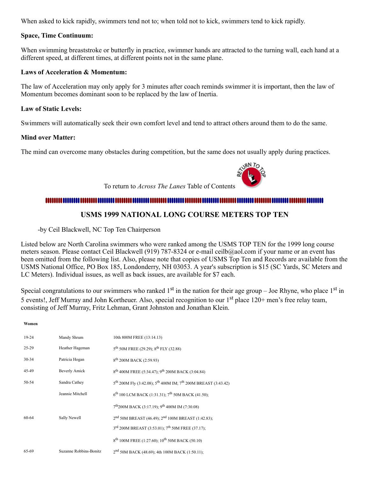When asked to kick rapidly, swimmers tend not to; when told not to kick, swimmers tend to kick rapidly.

### **Space, Time Continuum:**

When swimming breaststroke or butterfly in practice, swimmer hands are attracted to the turning wall, each hand at a different speed, at different times, at different points not in the same plane.

### **Laws of Acceleration & Momentum:**

The law of Acceleration may only apply for 3 minutes after coach reminds swimmer it is important, then the law of Momentum becomes dominant soon to be replaced by the law of Inertia.

### **Law of Static Levels:**

Swimmers will automatically seek their own comfort level and tend to attract others around them to do the same.

### **Mind over Matter:**

**Women**

The mind can overcome many obstacles during competition, but the same does not usually apply during practices.

To return to *Across The Lanes* Table of Contents

#### ,,,,,,,,,,,,,,,,,,,,

# **USMS 1999 NATIONAL LONG COURSE METERS TOP TEN**

<span id="page-5-0"></span>-by Ceil Blackwell, NC Top Ten Chairperson

Listed below are North Carolina swimmers who were ranked among the USMS TOP TEN for the 1999 long course meters season. Please contact Ceil Blackwell (919) 787-8324 or e-mail ceilb@aol.com if your name or an event has been omitted from the following list. Also, please note that copies of USMS Top Ten and Records are available from the USMS National Office, PO Box 185, Londonderry, NH 03053. A year's subscription is \$15 (SC Yards, SC Meters and LC Meters). Individual issues, as well as back issues, are available for \$7 each.

Special congratulations to our swimmers who ranked  $1<sup>st</sup>$  in the nation for their age group – Joe Rhyne, who place  $1<sup>st</sup>$  in 5 events!, Jeff Murray and John Kortheuer. Also, special recognition to our 1<sup>st</sup> place 120+ men's free relay team, consisting of Jeff Murray, Fritz Lehman, Grant Johnston and Jonathan Klein.

| $19-24$   | Mandy Shrum            | 10th 800M FREE (13:14.13)                                                     |
|-----------|------------------------|-------------------------------------------------------------------------------|
| 25-29     | Heather Hageman        | $5^{th}$ 50M FREE (29.29); $8^{th}$ FLY (32.88)                               |
| $30 - 34$ | Patricia Hogan         | 8 <sup>th</sup> 200M BACK (2:59.93)                                           |
| 45-49     | <b>Beverly Amick</b>   | 8 <sup>th</sup> 400M FREE (5:34.47); 9 <sup>th</sup> 200M BACK (3:04.84)      |
| 50-54     | Sandra Cathey          | $5^{th}$ 200M Fly (3:42.08); $5^{th}$ 400M IM; $7^{th}$ 200M BREAST (3:43.42) |
|           | Jeannie Mitchell       | $6^{th}$ 100 LCM BACK (1:31.31); 7 <sup>th</sup> 50M BACK (41.50);            |
|           |                        | $7^{\text{th}}200M$ BACK (3:17.19); 9 <sup>th</sup> 400M IM (7:30.08)         |
| 60-64     | Sally Newell           | 2 <sup>nd</sup> 50M BREAST (46.49); 2 <sup>nd</sup> 100M BREAST (1:42.83);    |
|           |                        | 3rd 200M BREAST (3:53.01); 7 <sup>th</sup> 50M FREE (37.17);                  |
|           |                        | 8 <sup>th</sup> 100M FREE (1:27.60); 10 <sup>th</sup> 50M BACK (50.10)        |
| 65-69     | Suzanne Robbins-Bonitz | $2nd$ 50M BACK (48.69); 4th 100M BACK (1:50.11);                              |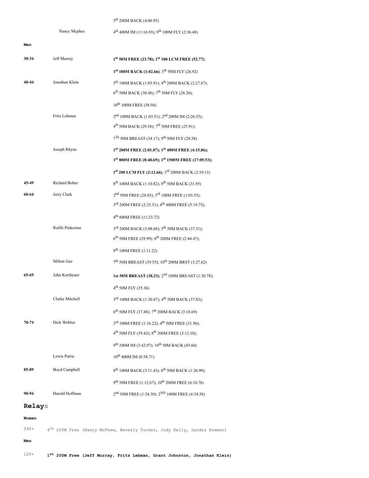### 5<sup>th</sup> 200M BACK (4:06.95)

<sup>th</sup> 400M IM (11:16.93); 9<sup>th</sup> 100M FLY (2:36.40)

Nancy Mcphee

| Men       |                  |                                                                           |
|-----------|------------------|---------------------------------------------------------------------------|
| $30 - 34$ | Jeff Murray      | 1st 50M FREE (23.78); 1st 100 LCM FREE (52.77);                           |
|           |                  | $1st 100M$ BACK (1:02.66); $5th 50M$ FLY (26.92)                          |
| 40-44     | Jonathan Klein   | 5 <sup>th</sup> 100M BACK (1:05.91); 4 <sup>th</sup> 200M BACK (2:27.87); |
|           |                  | 6 <sup>th</sup> 50M BACK (30.48); 7 <sup>th</sup> 50M FLY (28.20);        |
|           |                  | 10 <sup>th</sup> 100M FREE (58.94)                                        |
|           | Fritz Lehman     | 2 <sup>nd</sup> 100M BACK (1:03.51); 2 <sup>nd</sup> 200M IM (2:26.55);   |
|           |                  | 4 <sup>th</sup> 50M BACK (29.38); 7 <sup>th</sup> 50M FREE (25.91);       |
|           |                  | 7Th 50M BREAST (34.17); 9th 50M FLY (28.58)                               |
|           | Joseph Rhyne     | 1st 200M FREE (2:01.07); 1st 400M FREE (4:15.86);                         |
|           |                  | 1st 800M FREE (8:48.69); 1st 1500M FREE (17:05.53);                       |
|           |                  | 1st 200 LCM FLY (2:12.66); 3rd 200M BACK (2:19.13)                        |
| 45-49     | Richard Bober    | 8 <sup>th</sup> 100M BACK (1:10.82); 9 <sup>th</sup> 50M BACK (31.95)     |
| 60-64     | Jerry Clark      | $2nd$ 50M FREE (28.03); 3 <sup>rd</sup> 100M FREE (1:03.55);              |
|           |                  | 3rd 200M FREE (2:25.51); 4 <sup>th</sup> 400M FREE (5:19.75);             |
|           |                  | 4 <sup>th</sup> 800M FREE (11:23.72)                                      |
|           | Rolffs Pinkerton | 3rd 200M BACK (3:08.68); 5 <sup>th</sup> 50M BACK (37.31);                |
|           |                  | 6 <sup>th</sup> 50M FREE (29.99); 8 <sup>th</sup> 200M FREE (2:44.47);    |
|           |                  | 9 <sup>th</sup> 100M FREE (1:11.22)                                       |
|           | Milton Gee       | 7 <sup>th</sup> 50M BREAST (39.55); 10 <sup>th</sup> 200M BRST (3:27.62)  |
| 65-69     | John Kortheuer   | 1st 50M BREAST (38.23); 2 <sup>nd</sup> 100M BREAST (1:30.78);            |
|           |                  | $4^{th}$ 50M FLY (35.36)                                                  |
|           | Clarke Mitchell  | 3rd 100M BACK (1:20.87); 4 <sup>th</sup> 50M BACK (37.83);                |
|           |                  | 6 <sup>th</sup> 50M FLY (37.88); 7 <sup>th</sup> 200M BACK (3:18.69)      |
| 70-74     | Dick Webber      | 3rd 100M FREE (1:16.22); 4 <sup>th</sup> 50M FREE (31.96);                |
|           |                  | $4^{th}$ 50M FLY (39.42); $8^{th}$ 200M FREE (3:12.10);                   |
|           |                  | 9th 200M IM (3:42.97); 10 <sup>th</sup> 50M BACK (45.60)                  |
|           | Lewis Patrie     | 10 <sup>th</sup> 400M IM (8:58.71)                                        |
| 85-89     | Boyd Campbell    | 8 <sup>th</sup> 100M BACK (3:11.43); 8 <sup>th</sup> 50M BACK (1:26.99);  |
|           |                  | 9th 50M FREE (1:12.67); 10 <sup>th</sup> 200M FREE (6:10.76)              |
| 90-94     | Harold Hoffman   | 2 <sup>nd</sup> 50M FREE (1:34.30); 2 <sup>ND</sup> 100M FREE (4:34.38)   |
|           |                  |                                                                           |

# **Relay**s

### **Women**

 $240+$  $4^{\text{th}}$  200M Free (Nancy McPhee, Beverly Tucker, Judy Kelly, Sandra Kremer)

### **Men**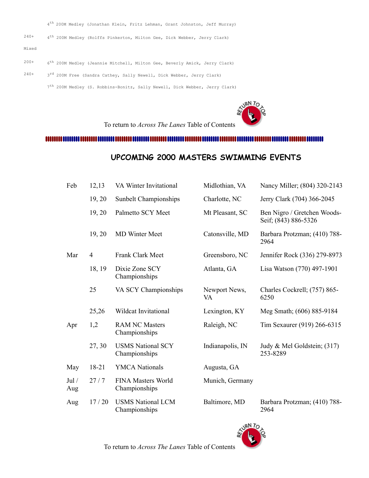4<sup>th</sup> 200M Medley (Jonathan Klein, Fritz Lehman, Grant Johnston, Jeff Murray)

 $240+$ 4<sup>th</sup> 200M Medley (Rolffs Pinkerton, Milton Gee, Dick Webber, Jerry Clark)

Mixed

- $200+$  $6^{\text{th}}$  200M Medley (Jeannie Mitchell, Milton Gee, Beverly Amick, Jerry Clark)
- $240+$  3<sup>rd</sup> 200M Free (Sandra Cathey, Sally Newell, Dick Webber, Jerry Clark)
	- 7<sup>th</sup> 200M Medley (S. Robbins-Bonitz, Sally Newell, Dick Webber, Jerry Clark)

**ANRA TO** To return to *Across The Lanes* Table of Contents

### <span id="page-7-0"></span>

# **UPCOMING 2000 MASTERS SWIMMING EVENTS**

| Feb          | 12,13          | VA Winter Invitational                    | Midlothian, VA      | Nancy Miller; (804) 320-2143                        |
|--------------|----------------|-------------------------------------------|---------------------|-----------------------------------------------------|
|              | 19, 20         | Sunbelt Championships                     | Charlotte, NC       | Jerry Clark (704) 366-2045                          |
|              | 19, 20         | Palmetto SCY Meet                         | Mt Pleasant, SC     | Ben Nigro / Gretchen Woods-<br>Seif; (843) 886-5326 |
|              | 19, 20         | <b>MD</b> Winter Meet                     | Catonsville, MD     | Barbara Protzman; (410) 788-<br>2964                |
| Mar          | $\overline{4}$ | Frank Clark Meet                          | Greensboro, NC      | Jennifer Rock (336) 279-8973                        |
|              | 18, 19         | Dixie Zone SCY<br>Championships           | Atlanta, GA         | Lisa Watson (770) 497-1901                          |
|              | 25             | VA SCY Championships                      | Newport News,<br>VA | Charles Cockrell; (757) 865-<br>6250                |
|              | 25,26          | Wildcat Invitational                      | Lexington, KY       | Meg Smath; (606) 885-9184                           |
| Apr          | 1,2            | <b>RAM NC Masters</b><br>Championships    | Raleigh, NC         | Tim Sexaurer (919) 266-6315                         |
|              | 27, 30         | <b>USMS National SCY</b><br>Championships | Indianapolis, IN    | Judy & Mel Goldstein; (317)<br>253-8289             |
| May          | 18-21          | <b>YMCA Nationals</b>                     | Augusta, GA         |                                                     |
| Jul /<br>Aug | 27/7           | FINA Masters World<br>Championships       | Munich, Germany     |                                                     |
| Aug          | 17/20          | <b>USMS National LCM</b><br>Championships | Baltimore, MD       | Barbara Protzman; (410) 788-<br>2964                |



To return to *Across The Lanes* Table of Contents